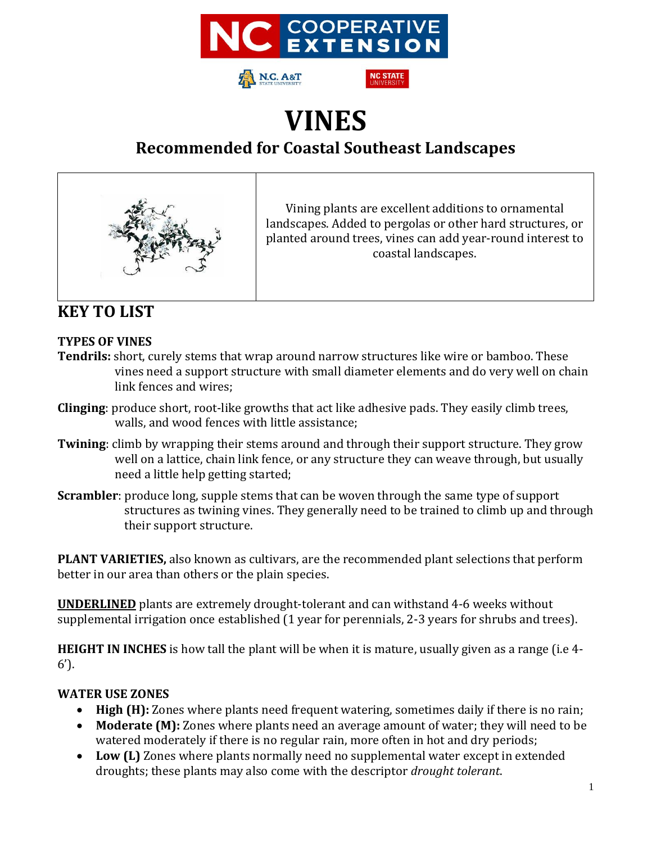

# **VINES**

**Recommended for Coastal Southeast Landscapes**



Vining plants are excellent additions to ornamental landscapes. Added to pergolas or other hard structures, or planted around trees, vines can add year-round interest to coastal landscapes.

#### **KEY TO LIST**

#### **TYPES OF VINES**

- **Tendrils:** short, curely stems that wrap around narrow structures like wire or bamboo. These vines need a support structure with small diameter elements and do very well on chain link fences and wires;
- **Clinging**: produce short, root-like growths that act like adhesive pads. They easily climb trees, walls, and wood fences with little assistance;
- **Twining**: climb by wrapping their stems around and through their support structure. They grow well on a lattice, chain link fence, or any structure they can weave through, but usually need a little help getting started;
- **Scrambler**: produce long, supple stems that can be woven through the same type of support structures as twining vines. They generally need to be trained to climb up and through their support structure.

**PLANT VARIETIES,** also known as cultivars, are the recommended plant selections that perform better in our area than others or the plain species.

**UNDERLINED** plants are extremely drought-tolerant and can withstand 4-6 weeks without supplemental irrigation once established (1 year for perennials, 2-3 years for shrubs and trees).

**HEIGHT IN INCHES** is how tall the plant will be when it is mature, usually given as a range (i.e 4- 6').

#### **WATER USE ZONES**

- **High (H):** Zones where plants need frequent watering, sometimes daily if there is no rain;
- **Moderate (M):** Zones where plants need an average amount of water; they will need to be watered moderately if there is no regular rain, more often in hot and dry periods;
- **Low (L)** Zones where plants normally need no supplemental water except in extended droughts; these plants may also come with the descriptor *drought tolerant*.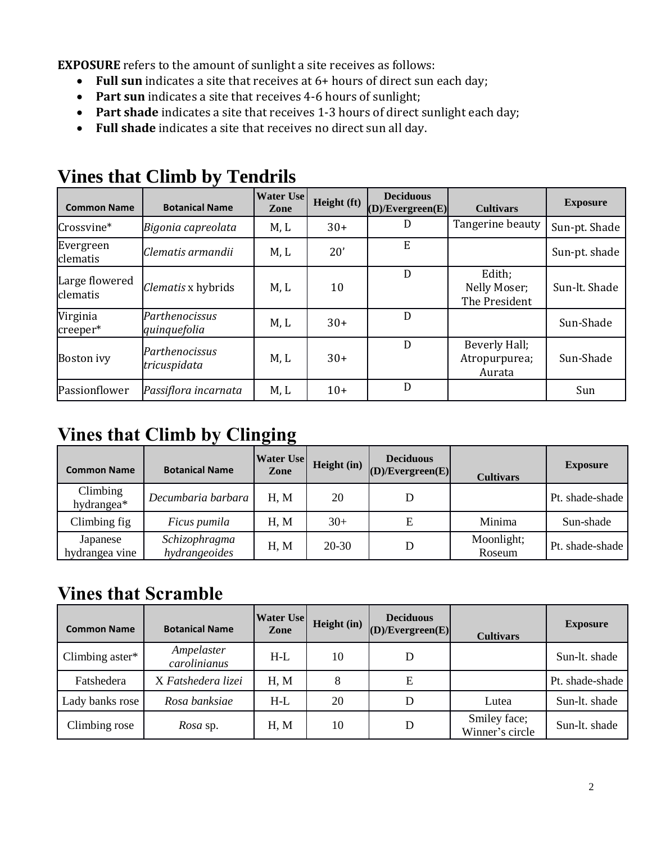**EXPOSURE** refers to the amount of sunlight a site receives as follows:

- **Full sun** indicates a site that receives at 6+ hours of direct sun each day;
- **Part sun** indicates a site that receives 4-6 hours of sunlight;
- **Part shade** indicates a site that receives 1-3 hours of direct sunlight each day;
- **Full shade** indicates a site that receives no direct sun all day.

| <b>Common Name</b>         | <b>Botanical Name</b>          | <b>Water Use</b><br><b>Zone</b> | Height (ft) | <b>Deciduous</b><br>$(D)/\text{Evergreen}(E)$ | <b>Cultivars</b>                         | <b>Exposure</b> |
|----------------------------|--------------------------------|---------------------------------|-------------|-----------------------------------------------|------------------------------------------|-----------------|
| Crossvine*                 | Bigonia capreolata             | M, L                            | $30+$       | D                                             | Tangerine beauty                         | Sun-pt. Shade   |
| Evergreen<br>clematis      | Clematis armandii              | M, L                            | 20'         | E                                             |                                          | Sun-pt. shade   |
| Large flowered<br>clematis | Clematis x hybrids             | M, L                            | 10          | D                                             | Edith;<br>Nelly Moser;<br>The President  | Sun-lt. Shade   |
| Virginia<br>creeper*       | Parthenocissus<br>quinquefolia | M, L                            | $30+$       | D                                             |                                          | Sun-Shade       |
| Boston ivy                 | Parthenocissus<br>tricuspidata | M, L                            | $30+$       | D                                             | Beverly Hall;<br>Atropurpurea;<br>Aurata | Sun-Shade       |
| Passionflower              | Passiflora incarnata           | M, L                            | $10+$       | D                                             |                                          | Sun             |

### **Vines that Climb by Tendrils**

#### **Vines that Climb by Clinging**

| <b>Common Name</b>         | <b>Botanical Name</b>          | Water Use<br>Zone | Height (in) | <b>Deciduous</b><br>$(D)/\text{Evergreen}(E)$ | <b>Cultivars</b>     | <b>Exposure</b> |
|----------------------------|--------------------------------|-------------------|-------------|-----------------------------------------------|----------------------|-----------------|
| Climbing<br>hydrangea*     | Decumbaria barbara             | H, M              | 20          | D                                             |                      | Pt. shade-shade |
| Climbing fig.              | Ficus pumila                   | H, M              | $30+$       | E                                             | Minima               | Sun-shade       |
| Japanese<br>hydrangea vine | Schizophragma<br>hydrangeoides | H, M              | $20 - 30$   | D                                             | Moonlight;<br>Roseum | Pt. shade-shade |

### **Vines that Scramble**

| <b>Common Name</b> | <b>Botanical Name</b>      | <b>Water Use</b><br>Zone | Height (in) | <b>Deciduous</b><br>$(D)/\text{Evergreen}(E)$ | <b>Cultivars</b>                | <b>Exposure</b> |
|--------------------|----------------------------|--------------------------|-------------|-----------------------------------------------|---------------------------------|-----------------|
| Climbing aster*    | Ampelaster<br>carolinianus | $H-L$                    | 10          | D                                             |                                 | Sun-lt. shade   |
| Fatshedera         | X Fatshedera lizei         | H, M                     | 8           | E                                             |                                 | Pt. shade-shade |
| Lady banks rose    | Rosa banksiae              | $H-L$                    | 20          | D                                             | Lutea                           | Sun-lt. shade   |
| Climbing rose      | <i>Rosa</i> sp.            | H, M                     | 10          | D                                             | Smiley face;<br>Winner's circle | Sun-lt. shade   |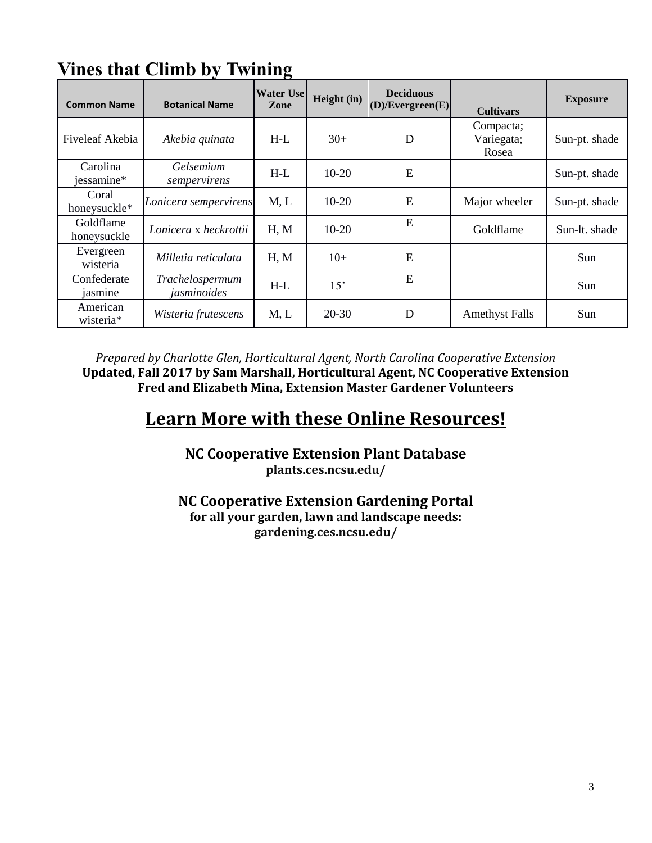| <b>Common Name</b>                | <b>Botanical Name</b>          | $\bullet$<br><b>Water Use</b><br>Zone | Height (in) | <b>Deciduous</b><br>$(D)/\text{Evergreen}(E)$ | <b>Cultivars</b>                 | <b>Exposure</b> |
|-----------------------------------|--------------------------------|---------------------------------------|-------------|-----------------------------------------------|----------------------------------|-----------------|
| Fiveleaf Akebia                   | Akebia quinata                 | $H-L$                                 | $30+$       | D                                             | Compacta;<br>Variegata;<br>Rosea | Sun-pt. shade   |
| Carolina<br>iessamine*            | Gelsemium<br>sempervirens      | $H-L$                                 | $10-20$     | E                                             |                                  | Sun-pt. shade   |
| Coral<br>honeysuckle*             | Lonicera sempervirens          | M, L                                  | $10-20$     | E                                             | Major wheeler                    | Sun-pt. shade   |
| Goldflame<br>honeysuckle          | Lonicera x heckrottii          | H, M                                  | $10-20$     | E                                             | Goldflame                        | Sun-lt. shade   |
| Evergreen<br>wisteria             | Milletia reticulata            | H, M                                  | $10+$       | E                                             |                                  | Sun             |
| Confederate<br>jasmine            | Trachelospermum<br>jasminoides | $H-L$                                 | 15'         | E                                             |                                  | Sun             |
| American<br>wisteria <sup>*</sup> | Wisteria frutescens            | M, L                                  | $20 - 30$   | D                                             | <b>Amethyst Falls</b>            | Sun             |

## **Vines that Climb by Twining**

*Prepared by Charlotte Glen, Horticultural Agent, North Carolina Cooperative Extension* **Updated, Fall 2017 by Sam Marshall, Horticultural Agent, NC Cooperative Extension Fred and Elizabeth Mina, Extension Master Gardener Volunteers**

### **Learn More with these Online Resources!**

**NC Cooperative Extension Plant Database plants.ces.ncsu.edu/**

**NC Cooperative Extension Gardening Portal for all your garden, lawn and landscape needs: gardening.ces.ncsu.edu/**